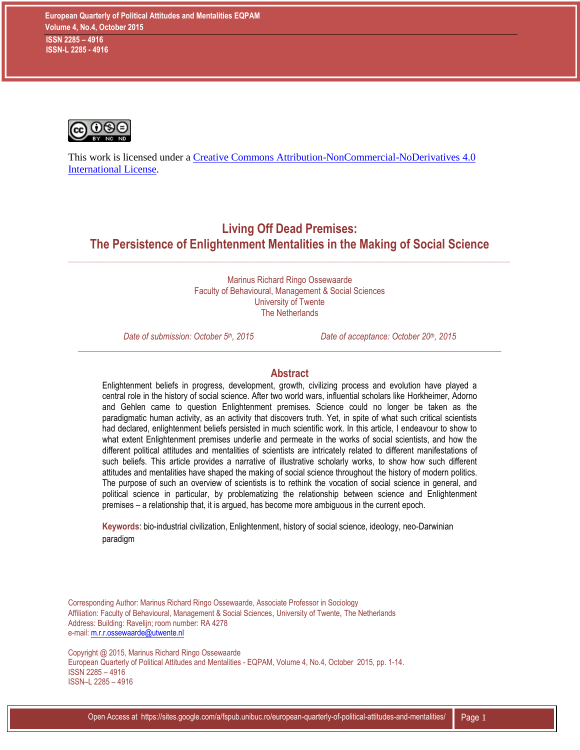

This work is licensed under a [Creative Commons Attribution-NonCommercial-NoDerivatives 4.0](http://creativecommons.org/licenses/by-nc-nd/4.0/)  [International License.](http://creativecommons.org/licenses/by-nc-nd/4.0/)

**Living Off Dead Premises: The Persistence of Enlightenment Mentalities in the Making of Social Science**

 $\_$  ,  $\_$  ,  $\_$  ,  $\_$  ,  $\_$  ,  $\_$  ,  $\_$  ,  $\_$  ,  $\_$  ,  $\_$  ,  $\_$  ,  $\_$  ,  $\_$  ,  $\_$  ,  $\_$  ,  $\_$  ,  $\_$  ,  $\_$  ,  $\_$  ,  $\_$  ,  $\_$  ,  $\_$  ,  $\_$  ,  $\_$  ,  $\_$  ,  $\_$  ,  $\_$  ,  $\_$  ,  $\_$  ,  $\_$  ,  $\_$  ,  $\_$  ,  $\_$  ,  $\_$  ,  $\_$  ,  $\_$  ,  $\_$  ,

Marinus Richard Ringo Ossewaarde Faculty of Behavioural, Management & Social Sciences University of Twente The Netherlands

*Date of submission: October 5th, 2015 Date of acceptance: October 20th, 2015*

#### **Abstract**

*\_\_\_\_\_\_\_\_\_\_\_\_\_\_\_\_\_\_\_\_\_\_\_\_\_\_\_\_\_\_\_\_\_\_\_\_\_\_\_\_\_\_\_\_\_\_\_\_\_\_\_\_\_\_\_\_\_\_\_\_\_\_\_\_\_\_\_\_\_\_\_\_\_\_\_\_\_\_\_\_\_\_\_\_\_\_\_\_\_\_\_\_\_\_\_\_\_\_*

Enlightenment beliefs in progress, development, growth, civilizing process and evolution have played a central role in the history of social science. After two world wars, influential scholars like Horkheimer, Adorno and Gehlen came to question Enlightenment premises. Science could no longer be taken as the paradigmatic human activity, as an activity that discovers truth. Yet, in spite of what such critical scientists had declared, enlightenment beliefs persisted in much scientific work. In this article, I endeavour to show to what extent Enlightenment premises underlie and permeate in the works of social scientists, and how the different political attitudes and mentalities of scientists are intricately related to different manifestations of such beliefs. This article provides a narrative of illustrative scholarly works, to show how such different attitudes and mentalities have shaped the making of social science throughout the history of modern politics. The purpose of such an overview of scientists is to rethink the vocation of social science in general, and political science in particular, by problematizing the relationship between science and Enlightenment premises – a relationship that, it is argued, has become more ambiguous in the current epoch.

**Keywords**: bio-industrial civilization, Enlightenment, history of social science, ideology, neo-Darwinian paradigm

Corresponding Author: Marinus Richard Ringo Ossewaarde, Associate Professor in Sociology Affiliation: Faculty of Behavioural, Management & Social Sciences, University of Twente, The Netherlands Address: Building: Ravelijn; room number: RA 4278 e-mail: [m.r.r.ossewaarde@utwente.nl](mailto:m.r.r.ossewaarde@utwente.nl)

Copyright @ 2015, Marinus Richard Ringo Ossewaarde European Quarterly of Political Attitudes and Mentalities - EQPAM, Volume 4, No.4, October 2015, pp. 1-14. ISSN 2285 – 4916 ISSN–L 2285 – 4916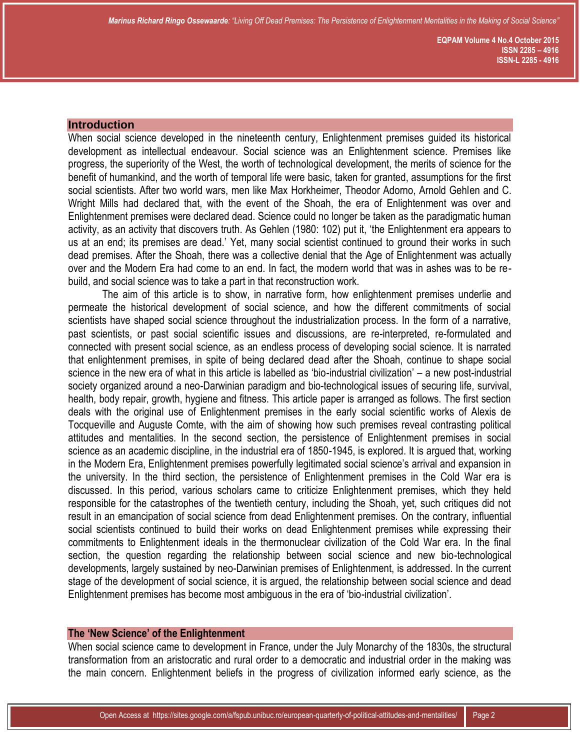#### **Introduction**

When social science developed in the nineteenth century, Enlightenment premises guided its historical development as intellectual endeavour. Social science was an Enlightenment science. Premises like progress, the superiority of the West, the worth of technological development, the merits of science for the benefit of humankind, and the worth of temporal life were basic, taken for granted, assumptions for the first social scientists. After two world wars, men like Max Horkheimer, Theodor Adorno, Arnold Gehlen and C. Wright Mills had declared that, with the event of the Shoah, the era of Enlightenment was over and Enlightenment premises were declared dead. Science could no longer be taken as the paradigmatic human activity, as an activity that discovers truth. As Gehlen (1980: 102) put it, 'the Enlightenment era appears to us at an end; its premises are dead.' Yet, many social scientist continued to ground their works in such dead premises. After the Shoah, there was a collective denial that the Age of Enlightenment was actually over and the Modern Era had come to an end. In fact, the modern world that was in ashes was to be rebuild, and social science was to take a part in that reconstruction work.

The aim of this article is to show, in narrative form, how enlightenment premises underlie and permeate the historical development of social science, and how the different commitments of social scientists have shaped social science throughout the industrialization process. In the form of a narrative, past scientists, or past social scientific issues and discussions, are re-interpreted, re-formulated and connected with present social science, as an endless process of developing social science. It is narrated that enlightenment premises, in spite of being declared dead after the Shoah, continue to shape social science in the new era of what in this article is labelled as 'bio-industrial civilization' – a new post-industrial society organized around a neo-Darwinian paradigm and bio-technological issues of securing life, survival, health, body repair, growth, hygiene and fitness. This article paper is arranged as follows. The first section deals with the original use of Enlightenment premises in the early social scientific works of Alexis de Tocqueville and Auguste Comte, with the aim of showing how such premises reveal contrasting political attitudes and mentalities. In the second section, the persistence of Enlightenment premises in social science as an academic discipline, in the industrial era of 1850-1945, is explored. It is argued that, working in the Modern Era, Enlightenment premises powerfully legitimated social science's arrival and expansion in the university. In the third section, the persistence of Enlightenment premises in the Cold War era is discussed. In this period, various scholars came to criticize Enlightenment premises, which they held responsible for the catastrophes of the twentieth century, including the Shoah, yet, such critiques did not result in an emancipation of social science from dead Enlightenment premises. On the contrary, influential social scientists continued to build their works on dead Enlightenment premises while expressing their commitments to Enlightenment ideals in the thermonuclear civilization of the Cold War era. In the final section, the question regarding the relationship between social science and new bio-technological developments, largely sustained by neo-Darwinian premises of Enlightenment, is addressed. In the current stage of the development of social science, it is argued, the relationship between social science and dead Enlightenment premises has become most ambiguous in the era of 'bio-industrial civilization'.

## **The 'New Science' of the Enlightenment**

When social science came to development in France, under the July Monarchy of the 1830s, the structural transformation from an aristocratic and rural order to a democratic and industrial order in the making was the main concern. Enlightenment beliefs in the progress of civilization informed early science, as the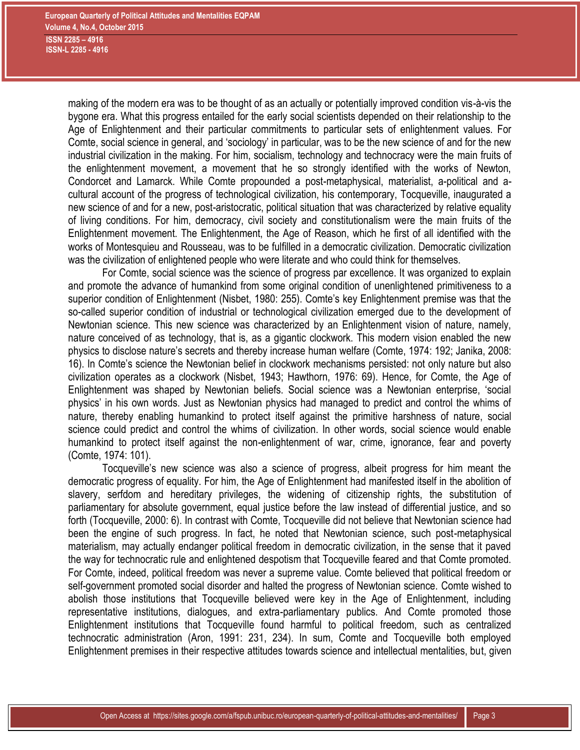making of the modern era was to be thought of as an actually or potentially improved condition vis-à-vis the bygone era. What this progress entailed for the early social scientists depended on their relationship to the Age of Enlightenment and their particular commitments to particular sets of enlightenment values. For Comte, social science in general, and 'sociology' in particular, was to be the new science of and for the new industrial civilization in the making. For him, socialism, technology and technocracy were the main fruits of the enlightenment movement, a movement that he so strongly identified with the works of Newton, Condorcet and Lamarck. While Comte propounded a post-metaphysical, materialist, a-political and acultural account of the progress of technological civilization, his contemporary, Tocqueville, inaugurated a new science of and for a new, post-aristocratic, political situation that was characterized by relative equality of living conditions. For him, democracy, civil society and constitutionalism were the main fruits of the Enlightenment movement. The Enlightenment, the Age of Reason, which he first of all identified with the works of Montesquieu and Rousseau, was to be fulfilled in a democratic civilization. Democratic civilization was the civilization of enlightened people who were literate and who could think for themselves.

For Comte, social science was the science of progress par excellence. It was organized to explain and promote the advance of humankind from some original condition of unenlightened primitiveness to a superior condition of Enlightenment (Nisbet, 1980: 255). Comte's key Enlightenment premise was that the so-called superior condition of industrial or technological civilization emerged due to the development of Newtonian science. This new science was characterized by an Enlightenment vision of nature, namely, nature conceived of as technology, that is, as a gigantic clockwork. This modern vision enabled the new physics to disclose nature's secrets and thereby increase human welfare (Comte, 1974: 192; Janika, 2008: 16). In Comte's science the Newtonian belief in clockwork mechanisms persisted: not only nature but also civilization operates as a clockwork (Nisbet, 1943; Hawthorn, 1976: 69). Hence, for Comte, the Age of Enlightenment was shaped by Newtonian beliefs. Social science was a Newtonian enterprise, 'social physics' in his own words. Just as Newtonian physics had managed to predict and control the whims of nature, thereby enabling humankind to protect itself against the primitive harshness of nature, social science could predict and control the whims of civilization. In other words, social science would enable humankind to protect itself against the non-enlightenment of war, crime, ignorance, fear and poverty (Comte, 1974: 101).

Tocqueville's new science was also a science of progress, albeit progress for him meant the democratic progress of equality. For him, the Age of Enlightenment had manifested itself in the abolition of slavery, serfdom and hereditary privileges, the widening of citizenship rights, the substitution of parliamentary for absolute government, equal justice before the law instead of differential justice, and so forth (Tocqueville, 2000: 6). In contrast with Comte, Tocqueville did not believe that Newtonian science had been the engine of such progress. In fact, he noted that Newtonian science, such post-metaphysical materialism, may actually endanger political freedom in democratic civilization, in the sense that it paved the way for technocratic rule and enlightened despotism that Tocqueville feared and that Comte promoted. For Comte, indeed, political freedom was never a supreme value. Comte believed that political freedom or self-government promoted social disorder and halted the progress of Newtonian science. Comte wished to abolish those institutions that Tocqueville believed were key in the Age of Enlightenment, including representative institutions, dialogues, and extra-parliamentary publics. And Comte promoted those Enlightenment institutions that Tocqueville found harmful to political freedom, such as centralized technocratic administration (Aron, 1991: 231, 234). In sum, Comte and Tocqueville both employed Enlightenment premises in their respective attitudes towards science and intellectual mentalities, but, given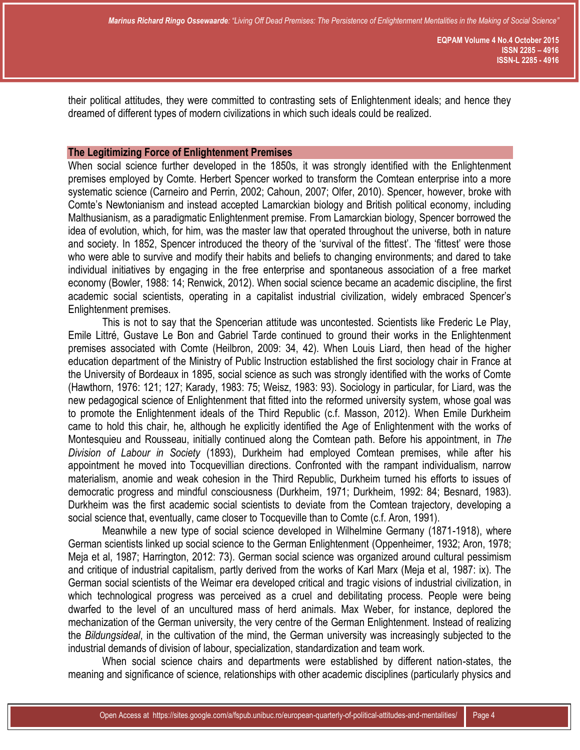their political attitudes, they were committed to contrasting sets of Enlightenment ideals; and hence they dreamed of different types of modern civilizations in which such ideals could be realized.

## **The Legitimizing Force of Enlightenment Premises**

When social science further developed in the 1850s, it was strongly identified with the Enlightenment premises employed by Comte. Herbert Spencer worked to transform the Comtean enterprise into a more systematic science (Carneiro and Perrin, 2002; Cahoun, 2007; Olfer, 2010). Spencer, however, broke with Comte's Newtonianism and instead accepted Lamarckian biology and British political economy, including Malthusianism, as a paradigmatic Enlightenment premise. From Lamarckian biology, Spencer borrowed the idea of evolution, which, for him, was the master law that operated throughout the universe, both in nature and society. In 1852, Spencer introduced the theory of the 'survival of the fittest'. The 'fittest' were those who were able to survive and modify their habits and beliefs to changing environments; and dared to take individual initiatives by engaging in the free enterprise and spontaneous association of a free market economy (Bowler, 1988: 14; Renwick, 2012). When social science became an academic discipline, the first academic social scientists, operating in a capitalist industrial civilization, widely embraced Spencer's Enlightenment premises.

This is not to say that the Spencerian attitude was uncontested. Scientists like Frederic Le Play, Emile Littré, Gustave Le Bon and Gabriel Tarde continued to ground their works in the Enlightenment premises associated with Comte (Heilbron, 2009: 34, 42). When Louis Liard, then head of the higher education department of the Ministry of Public Instruction established the first sociology chair in France at the University of Bordeaux in 1895, social science as such was strongly identified with the works of Comte (Hawthorn, 1976: 121; 127; Karady, 1983: 75; Weisz, 1983: 93). Sociology in particular, for Liard, was the new pedagogical science of Enlightenment that fitted into the reformed university system, whose goal was to promote the Enlightenment ideals of the Third Republic (c.f. Masson, 2012). When Emile Durkheim came to hold this chair, he, although he explicitly identified the Age of Enlightenment with the works of Montesquieu and Rousseau, initially continued along the Comtean path. Before his appointment, in *The Division of Labour in Society* (1893), Durkheim had employed Comtean premises, while after his appointment he moved into Tocquevillian directions. Confronted with the rampant individualism, narrow materialism, anomie and weak cohesion in the Third Republic, Durkheim turned his efforts to issues of democratic progress and mindful consciousness (Durkheim, 1971; Durkheim, 1992: 84; Besnard, 1983). Durkheim was the first academic social scientists to deviate from the Comtean trajectory, developing a social science that, eventually, came closer to Tocqueville than to Comte (c.f. Aron, 1991).

Meanwhile a new type of social science developed in Wilhelmine Germany (1871-1918), where German scientists linked up social science to the German Enlightenment (Oppenheimer, 1932; Aron, 1978; Meja et al, 1987; Harrington, 2012: 73). German social science was organized around cultural pessimism and critique of industrial capitalism, partly derived from the works of Karl Marx (Meja et al, 1987: ix). The German social scientists of the Weimar era developed critical and tragic visions of industrial civilization, in which technological progress was perceived as a cruel and debilitating process. People were being dwarfed to the level of an uncultured mass of herd animals. Max Weber, for instance, deplored the mechanization of the German university, the very centre of the German Enlightenment. Instead of realizing the *Bildungsideal*, in the cultivation of the mind, the German university was increasingly subjected to the industrial demands of division of labour, specialization, standardization and team work.

When social science chairs and departments were established by different nation-states, the meaning and significance of science, relationships with other academic disciplines (particularly physics and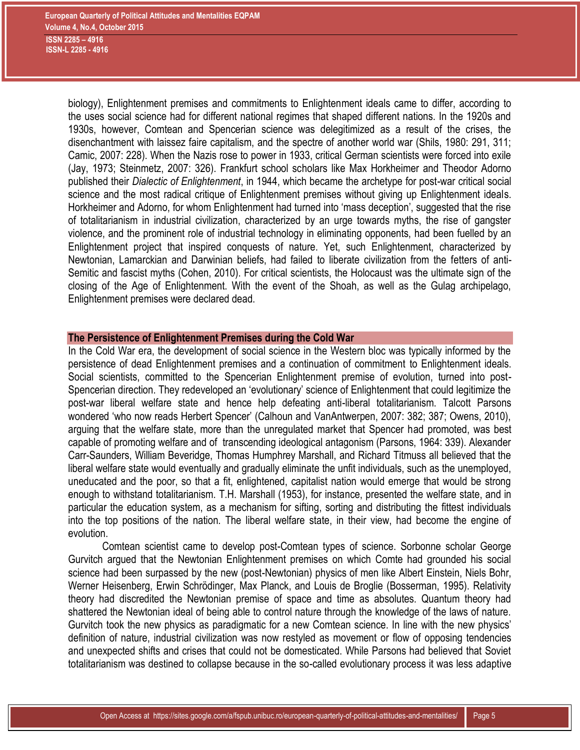biology), Enlightenment premises and commitments to Enlightenment ideals came to differ, according to the uses social science had for different national regimes that shaped different nations. In the 1920s and 1930s, however, Comtean and Spencerian science was delegitimized as a result of the crises, the disenchantment with laissez faire capitalism, and the spectre of another world war (Shils, 1980: 291, 311; Camic, 2007: 228). When the Nazis rose to power in 1933, critical German scientists were forced into exile (Jay, 1973; Steinmetz, 2007: 326). Frankfurt school scholars like Max Horkheimer and Theodor Adorno published their *Dialectic of Enlightenment*, in 1944, which became the archetype for post-war critical social science and the most radical critique of Enlightenment premises without giving up Enlightenment ideals. Horkheimer and Adorno, for whom Enlightenment had turned into 'mass deception', suggested that the rise of totalitarianism in industrial civilization, characterized by an urge towards myths, the rise of gangster violence, and the prominent role of industrial technology in eliminating opponents, had been fuelled by an Enlightenment project that inspired conquests of nature. Yet, such Enlightenment, characterized by Newtonian, Lamarckian and Darwinian beliefs, had failed to liberate civilization from the fetters of anti-Semitic and fascist myths (Cohen, 2010). For critical scientists, the Holocaust was the ultimate sign of the closing of the Age of Enlightenment. With the event of the Shoah, as well as the Gulag archipelago, Enlightenment premises were declared dead.

# **The Persistence of Enlightenment Premises during the Cold War**

In the Cold War era, the development of social science in the Western bloc was typically informed by the persistence of dead Enlightenment premises and a continuation of commitment to Enlightenment ideals. Social scientists, committed to the Spencerian Enlightenment premise of evolution, turned into post-Spencerian direction. They redeveloped an 'evolutionary' science of Enlightenment that could legitimize the post-war liberal welfare state and hence help defeating anti-liberal totalitarianism. Talcott Parsons wondered 'who now reads Herbert Spencer' (Calhoun and VanAntwerpen, 2007: 382; 387; Owens, 2010), arguing that the welfare state, more than the unregulated market that Spencer had promoted, was best capable of promoting welfare and of transcending ideological antagonism (Parsons, 1964: 339). Alexander Carr-Saunders, William Beveridge, Thomas Humphrey Marshall, and Richard Titmuss all believed that the liberal welfare state would eventually and gradually eliminate the unfit individuals, such as the unemployed, uneducated and the poor, so that a fit, enlightened, capitalist nation would emerge that would be strong enough to withstand totalitarianism. T.H. Marshall (1953), for instance, presented the welfare state, and in particular the education system, as a mechanism for sifting, sorting and distributing the fittest individuals into the top positions of the nation. The liberal welfare state, in their view, had become the engine of evolution.

Comtean scientist came to develop post-Comtean types of science. Sorbonne scholar George Gurvitch argued that the Newtonian Enlightenment premises on which Comte had grounded his social science had been surpassed by the new (post-Newtonian) physics of men like Albert Einstein, Niels Bohr, Werner Heisenberg, Erwin Schrödinger, Max Planck, and Louis de Broglie (Bosserman, 1995). Relativity theory had discredited the Newtonian premise of space and time as absolutes. Quantum theory had shattered the Newtonian ideal of being able to control nature through the knowledge of the laws of nature. Gurvitch took the new physics as paradigmatic for a new Comtean science. In line with the new physics' definition of nature, industrial civilization was now restyled as movement or flow of opposing tendencies and unexpected shifts and crises that could not be domesticated. While Parsons had believed that Soviet totalitarianism was destined to collapse because in the so-called evolutionary process it was less adaptive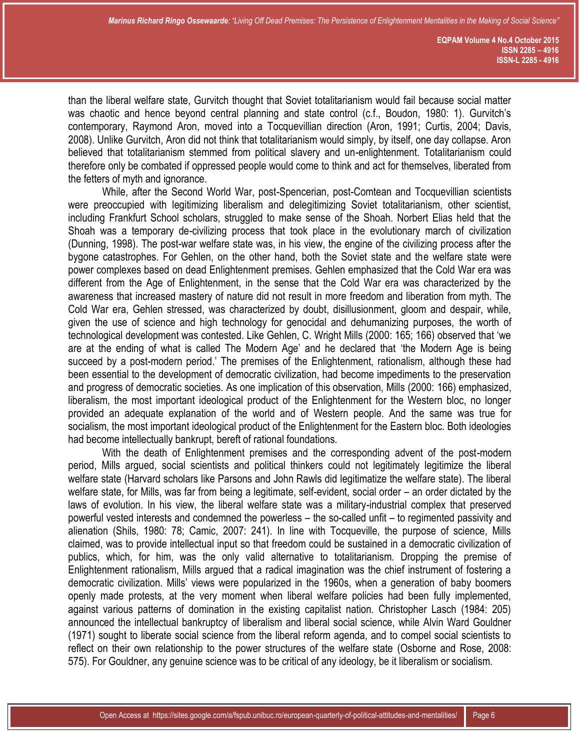than the liberal welfare state, Gurvitch thought that Soviet totalitarianism would fail because social matter was chaotic and hence beyond central planning and state control (c.f., Boudon, 1980: 1). Gurvitch's contemporary, Raymond Aron, moved into a Tocquevillian direction (Aron, 1991; Curtis, 2004; Davis, 2008). Unlike Gurvitch, Aron did not think that totalitarianism would simply, by itself, one day collapse. Aron believed that totalitarianism stemmed from political slavery and un-enlightenment. Totalitarianism could therefore only be combated if oppressed people would come to think and act for themselves, liberated from the fetters of myth and ignorance.

While, after the Second World War, post-Spencerian, post-Comtean and Tocquevillian scientists were preoccupied with legitimizing liberalism and delegitimizing Soviet totalitarianism, other scientist, including Frankfurt School scholars, struggled to make sense of the Shoah. Norbert Elias held that the Shoah was a temporary de-civilizing process that took place in the evolutionary march of civilization (Dunning, 1998). The post-war welfare state was, in his view, the engine of the civilizing process after the bygone catastrophes. For Gehlen, on the other hand, both the Soviet state and the welfare state were power complexes based on dead Enlightenment premises. Gehlen emphasized that the Cold War era was different from the Age of Enlightenment, in the sense that the Cold War era was characterized by the awareness that increased mastery of nature did not result in more freedom and liberation from myth. The Cold War era, Gehlen stressed, was characterized by doubt, disillusionment, gloom and despair, while, given the use of science and high technology for genocidal and dehumanizing purposes, the worth of technological development was contested. Like Gehlen, C. Wright Mills (2000: 165; 166) observed that 'we are at the ending of what is called The Modern Age' and he declared that 'the Modern Age is being succeed by a post-modern period.' The premises of the Enlightenment, rationalism, although these had been essential to the development of democratic civilization, had become impediments to the preservation and progress of democratic societies. As one implication of this observation, Mills (2000: 166) emphasized, liberalism, the most important ideological product of the Enlightenment for the Western bloc, no longer provided an adequate explanation of the world and of Western people. And the same was true for socialism, the most important ideological product of the Enlightenment for the Eastern bloc. Both ideologies had become intellectually bankrupt, bereft of rational foundations.

With the death of Enlightenment premises and the corresponding advent of the post-modern period, Mills argued, social scientists and political thinkers could not legitimately legitimize the liberal welfare state (Harvard scholars like Parsons and John Rawls did legitimatize the welfare state). The liberal welfare state, for Mills, was far from being a legitimate, self-evident, social order – an order dictated by the laws of evolution. In his view, the liberal welfare state was a military-industrial complex that preserved powerful vested interests and condemned the powerless – the so-called unfit – to regimented passivity and alienation (Shils, 1980: 78; Camic, 2007: 241). In line with Tocqueville, the purpose of science, Mills claimed, was to provide intellectual input so that freedom could be sustained in a democratic civilization of publics, which, for him, was the only valid alternative to totalitarianism. Dropping the premise of Enlightenment rationalism, Mills argued that a radical imagination was the chief instrument of fostering a democratic civilization. Mills' views were popularized in the 1960s, when a generation of baby boomers openly made protests, at the very moment when liberal welfare policies had been fully implemented, against various patterns of domination in the existing capitalist nation. Christopher Lasch (1984: 205) announced the intellectual bankruptcy of liberalism and liberal social science, while Alvin Ward Gouldner (1971) sought to liberate social science from the liberal reform agenda, and to compel social scientists to reflect on their own relationship to the power structures of the welfare state (Osborne and Rose, 2008: 575). For Gouldner, any genuine science was to be critical of any ideology, be it liberalism or socialism.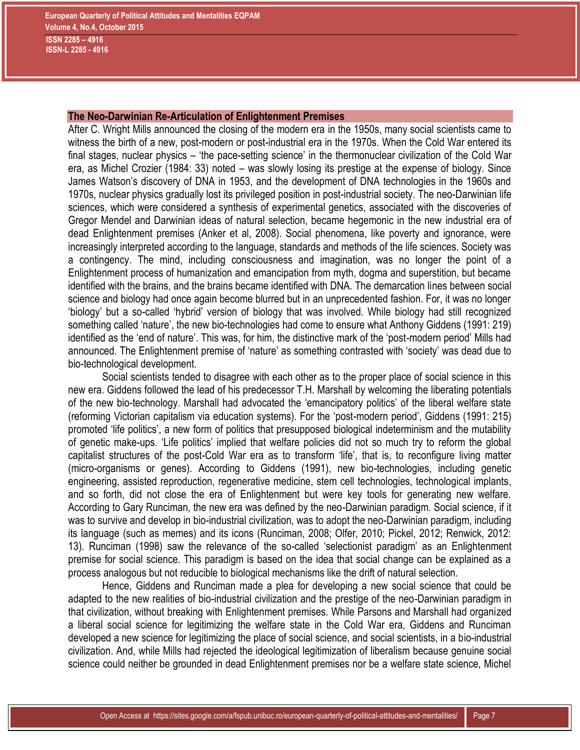# **The Neo-Darwinian Re-Articulation of Enlightenment Premises**

After C. Wright Mills announced the closing of the modern era in the 1950s, many social scientists came to witness the birth of a new, post-modern or post-industrial era in the 1970s. When the Cold War entered its final stages, nuclear physics – 'the pace-setting science' in the thermonuclear civilization of the Cold War era, as Michel Crozier (1984: 33) noted – was slowly losing its prestige at the expense of biology. Since James Watson's discovery of DNA in 1953, and the development of DNA technologies in the 1960s and 1970s, nuclear physics gradually lost its privileged position in post-industrial society. The neo-Darwinian life sciences, which were considered a synthesis of experimental genetics, associated with the discoveries of Gregor Mendel and Darwinian ideas of natural selection, became hegemonic in the new industrial era of dead Enlightenment premises (Anker et al, 2008). Social phenomena, like poverty and ignorance, were increasingly interpreted according to the language, standards and methods of the life sciences. Society was a contingency. The mind, including consciousness and imagination, was no longer the point of a Enlightenment process of humanization and emancipation from myth, dogma and superstition, but became identified with the brains, and the brains became identified with DNA. The demarcation lines between social science and biology had once again become blurred but in an unprecedented fashion. For, it was no longer 'biology' but a so-called 'hybrid' version of biology that was involved. While biology had still recognized something called 'nature', the new bio-technologies had come to ensure what Anthony Giddens (1991: 219) identified as the 'end of nature'. This was, for him, the distinctive mark of the 'post-modern period' Mills had announced. The Enlightenment premise of 'nature' as something contrasted with 'society' was dead due to bio-technological development.

Social scientists tended to disagree with each other as to the proper place of social science in this new era. Giddens followed the lead of his predecessor T.H. Marshall by welcoming the liberating potentials of the new bio-technology. Marshall had advocated the 'emancipatory politics' of the liberal welfare state (reforming Victorian capitalism via education systems). For the 'post-modern period', Giddens (1991: 215) promoted 'life politics', a new form of politics that presupposed biological indeterminism and the mutability of genetic make-ups. 'Life politics' implied that welfare policies did not so much try to reform the global capitalist structures of the post-Cold War era as to transform 'life', that is, to reconfigure living matter (micro-organisms or genes). According to Giddens (1991), new bio-technologies, including genetic engineering, assisted reproduction, regenerative medicine, stem cell technologies, technological implants, and so forth, did not close the era of Enlightenment but were key tools for generating new welfare. According to Gary Runciman, the new era was defined by the neo-Darwinian paradigm. Social science, if it was to survive and develop in bio-industrial civilization, was to adopt the neo-Darwinian paradigm, including its language (such as memes) and its icons (Runciman, 2008; Olfer, 2010; Pickel, 2012; Renwick, 2012: 13). Runciman (1998) saw the relevance of the so-called 'selectionist paradigm' as an Enlightenment premise for social science. This paradigm is based on the idea that social change can be explained as a process analogous but not reducible to biological mechanisms like the drift of natural selection.

Hence, Giddens and Runciman made a plea for developing a new social science that could be adapted to the new realities of bio-industrial civilization and the prestige of the neo-Darwinian paradigm in that civilization, without breaking with Enlightenment premises. While Parsons and Marshall had organized a liberal social science for legitimizing the welfare state in the Cold War era, Giddens and Runciman developed a new science for legitimizing the place of social science, and social scientists, in a bio-industrial civilization. And, while Mills had rejected the ideological legitimization of liberalism because genuine social science could neither be grounded in dead Enlightenment premises nor be a welfare state science, Michel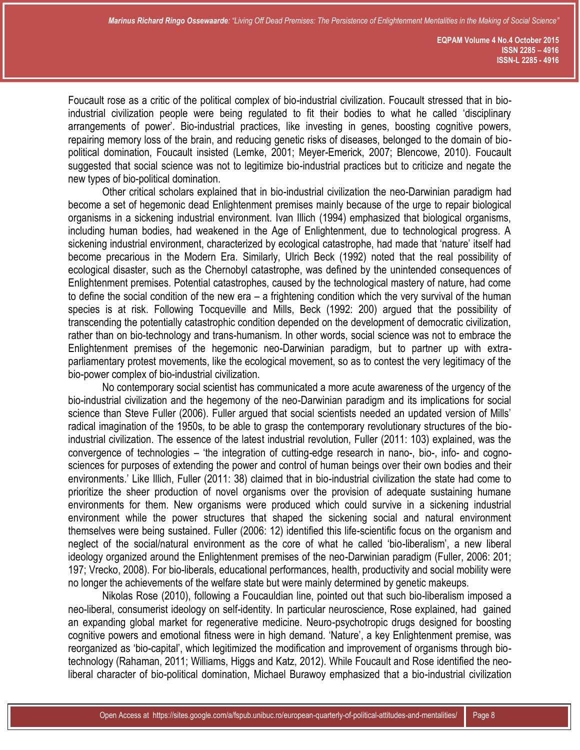Foucault rose as a critic of the political complex of bio-industrial civilization. Foucault stressed that in bioindustrial civilization people were being regulated to fit their bodies to what he called 'disciplinary arrangements of power'. Bio-industrial practices, like investing in genes, boosting cognitive powers, repairing memory loss of the brain, and reducing genetic risks of diseases, belonged to the domain of biopolitical domination, Foucault insisted (Lemke, 2001; Meyer-Emerick, 2007; Blencowe, 2010). Foucault suggested that social science was not to legitimize bio-industrial practices but to criticize and negate the new types of bio-political domination.

Other critical scholars explained that in bio-industrial civilization the neo-Darwinian paradigm had become a set of hegemonic dead Enlightenment premises mainly because of the urge to repair biological organisms in a sickening industrial environment. Ivan Illich (1994) emphasized that biological organisms, including human bodies, had weakened in the Age of Enlightenment, due to technological progress. A sickening industrial environment, characterized by ecological catastrophe, had made that 'nature' itself had become precarious in the Modern Era. Similarly, Ulrich Beck (1992) noted that the real possibility of ecological disaster, such as the Chernobyl catastrophe, was defined by the unintended consequences of Enlightenment premises. Potential catastrophes, caused by the technological mastery of nature, had come to define the social condition of the new era – a frightening condition which the very survival of the human species is at risk. Following Tocqueville and Mills, Beck (1992: 200) argued that the possibility of transcending the potentially catastrophic condition depended on the development of democratic civilization, rather than on bio-technology and trans-humanism. In other words, social science was not to embrace the Enlightenment premises of the hegemonic neo-Darwinian paradigm, but to partner up with extraparliamentary protest movements, like the ecological movement, so as to contest the very legitimacy of the bio-power complex of bio-industrial civilization.

No contemporary social scientist has communicated a more acute awareness of the urgency of the bio-industrial civilization and the hegemony of the neo-Darwinian paradigm and its implications for social science than Steve Fuller (2006). Fuller argued that social scientists needed an updated version of Mills' radical imagination of the 1950s, to be able to grasp the contemporary revolutionary structures of the bioindustrial civilization. The essence of the latest industrial revolution, Fuller (2011: 103) explained, was the convergence of technologies – 'the integration of cutting-edge research in nano-, bio-, info- and cognosciences for purposes of extending the power and control of human beings over their own bodies and their environments.' Like Illich, Fuller (2011: 38) claimed that in bio-industrial civilization the state had come to prioritize the sheer production of novel organisms over the provision of adequate sustaining humane environments for them. New organisms were produced which could survive in a sickening industrial environment while the power structures that shaped the sickening social and natural environment themselves were being sustained. Fuller (2006: 12) identified this life-scientific focus on the organism and neglect of the social/natural environment as the core of what he called 'bio-liberalism', a new liberal ideology organized around the Enlightenment premises of the neo-Darwinian paradigm (Fuller, 2006: 201; 197; Vrecko, 2008). For bio-liberals, educational performances, health, productivity and social mobility were no longer the achievements of the welfare state but were mainly determined by genetic makeups.

Nikolas Rose (2010), following a Foucauldian line, pointed out that such bio-liberalism imposed a neo-liberal, consumerist ideology on self-identity. In particular neuroscience, Rose explained, had gained an expanding global market for regenerative medicine. Neuro-psychotropic drugs designed for boosting cognitive powers and emotional fitness were in high demand. 'Nature', a key Enlightenment premise, was reorganized as 'bio-capital', which legitimized the modification and improvement of organisms through biotechnology (Rahaman, 2011; Williams, Higgs and Katz, 2012). While Foucault and Rose identified the neoliberal character of bio-political domination, Michael Burawoy emphasized that a bio-industrial civilization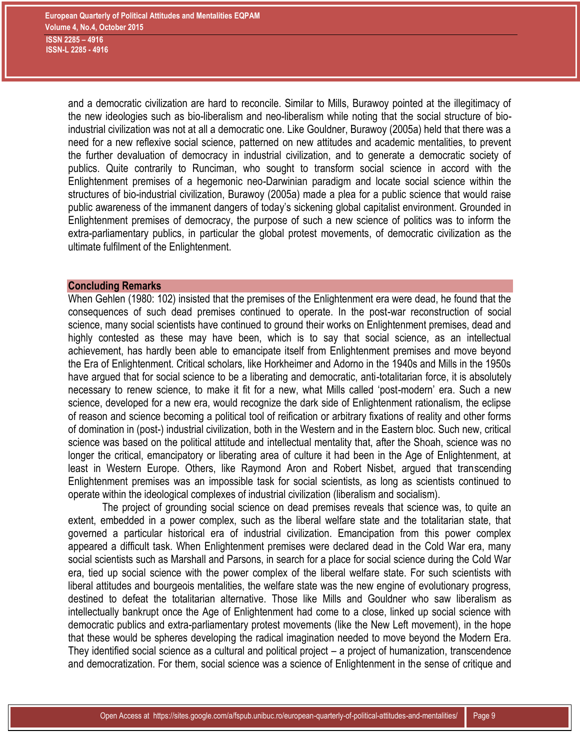and a democratic civilization are hard to reconcile. Similar to Mills, Burawoy pointed at the illegitimacy of the new ideologies such as bio-liberalism and neo-liberalism while noting that the social structure of bioindustrial civilization was not at all a democratic one. Like Gouldner, Burawoy (2005a) held that there was a need for a new reflexive social science, patterned on new attitudes and academic mentalities, to prevent the further devaluation of democracy in industrial civilization, and to generate a democratic society of publics. Quite contrarily to Runciman, who sought to transform social science in accord with the Enlightenment premises of a hegemonic neo-Darwinian paradigm and locate social science within the structures of bio-industrial civilization, Burawoy (2005a) made a plea for a public science that would raise public awareness of the immanent dangers of today's sickening global capitalist environment. Grounded in Enlightenment premises of democracy, the purpose of such a new science of politics was to inform the extra-parliamentary publics, in particular the global protest movements, of democratic civilization as the ultimate fulfilment of the Enlightenment.

#### **Concluding Remarks**

When Gehlen (1980: 102) insisted that the premises of the Enlightenment era were dead, he found that the consequences of such dead premises continued to operate. In the post-war reconstruction of social science, many social scientists have continued to ground their works on Enlightenment premises, dead and highly contested as these may have been, which is to say that social science, as an intellectual achievement, has hardly been able to emancipate itself from Enlightenment premises and move beyond the Era of Enlightenment. Critical scholars, like Horkheimer and Adorno in the 1940s and Mills in the 1950s have argued that for social science to be a liberating and democratic, anti-totalitarian force, it is absolutely necessary to renew science, to make it fit for a new, what Mills called 'post-modern' era. Such a new science, developed for a new era, would recognize the dark side of Enlightenment rationalism, the eclipse of reason and science becoming a political tool of reification or arbitrary fixations of reality and other forms of domination in (post-) industrial civilization, both in the Western and in the Eastern bloc. Such new, critical science was based on the political attitude and intellectual mentality that, after the Shoah, science was no longer the critical, emancipatory or liberating area of culture it had been in the Age of Enlightenment, at least in Western Europe. Others, like Raymond Aron and Robert Nisbet, argued that transcending Enlightenment premises was an impossible task for social scientists, as long as scientists continued to operate within the ideological complexes of industrial civilization (liberalism and socialism).

The project of grounding social science on dead premises reveals that science was, to quite an extent, embedded in a power complex, such as the liberal welfare state and the totalitarian state, that governed a particular historical era of industrial civilization. Emancipation from this power complex appeared a difficult task. When Enlightenment premises were declared dead in the Cold War era, many social scientists such as Marshall and Parsons, in search for a place for social science during the Cold War era, tied up social science with the power complex of the liberal welfare state. For such scientists with liberal attitudes and bourgeois mentalities, the welfare state was the new engine of evolutionary progress, destined to defeat the totalitarian alternative. Those like Mills and Gouldner who saw liberalism as intellectually bankrupt once the Age of Enlightenment had come to a close, linked up social science with democratic publics and extra-parliamentary protest movements (like the New Left movement), in the hope that these would be spheres developing the radical imagination needed to move beyond the Modern Era. They identified social science as a cultural and political project – a project of humanization, transcendence and democratization. For them, social science was a science of Enlightenment in the sense of critique and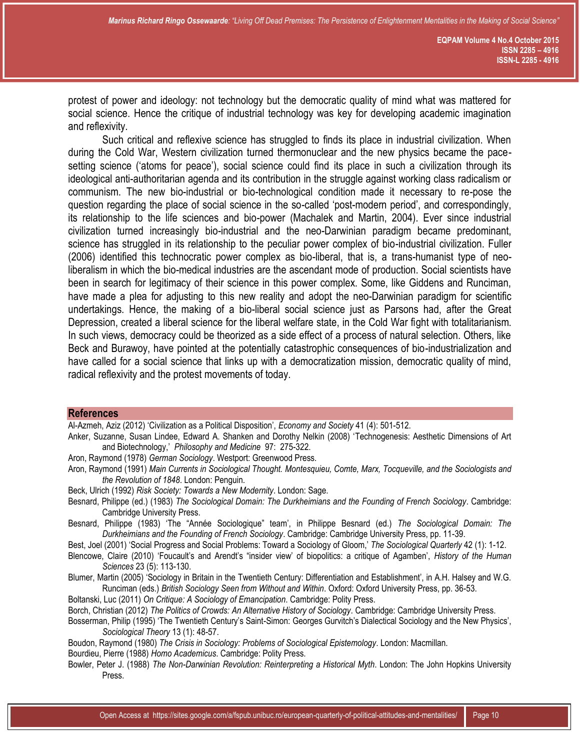protest of power and ideology: not technology but the democratic quality of mind what was mattered for social science. Hence the critique of industrial technology was key for developing academic imagination and reflexivity.

Such critical and reflexive science has struggled to finds its place in industrial civilization. When during the Cold War, Western civilization turned thermonuclear and the new physics became the pacesetting science ('atoms for peace'), social science could find its place in such a civilization through its ideological anti-authoritarian agenda and its contribution in the struggle against working class radicalism or communism. The new bio-industrial or bio-technological condition made it necessary to re-pose the question regarding the place of social science in the so-called 'post-modern period', and correspondingly, its relationship to the life sciences and bio-power (Machalek and Martin, 2004). Ever since industrial civilization turned increasingly bio-industrial and the neo-Darwinian paradigm became predominant, science has struggled in its relationship to the peculiar power complex of bio-industrial civilization. Fuller (2006) identified this technocratic power complex as bio-liberal, that is, a trans-humanist type of neoliberalism in which the bio-medical industries are the ascendant mode of production. Social scientists have been in search for legitimacy of their science in this power complex. Some, like Giddens and Runciman, have made a plea for adjusting to this new reality and adopt the neo-Darwinian paradigm for scientific undertakings. Hence, the making of a bio-liberal social science just as Parsons had, after the Great Depression, created a liberal science for the liberal welfare state, in the Cold War fight with totalitarianism. In such views, democracy could be theorized as a side effect of a process of natural selection. Others, like Beck and Burawoy, have pointed at the potentially catastrophic consequences of bio-industrialization and have called for a social science that links up with a democratization mission, democratic quality of mind, radical reflexivity and the protest movements of today.

#### **References**

Al-Azmeh, Aziz (2012) 'Civilization as a Political Disposition', *Economy and Society* 41 (4): 501-512.

- Anker, Suzanne, Susan Lindee, Edward A. Shanken and Dorothy Nelkin (2008) '[Technogenesis: Aesthetic Dimensions of Art](http://picarta.pica.nl/DB=2.41/SET=9/TTL=1/SHW?FRST=3)  [and Biotechnology](http://picarta.pica.nl/DB=2.41/SET=9/TTL=1/SHW?FRST=3),' *Philosophy and Medicine* 97: 275-322.
- Aron, Raymond (1978) *German Sociology*. Westport: Greenwood Press.
- Aron, Raymond (1991) *Main Currents in Sociological Thought. Montesquieu, Comte, Marx, Tocqueville, and the Sociologists and the Revolution of 1848*. London: Penguin.
- Beck, Ulrich (1992) *Risk Society: Towards a New Modernity*. London: Sage.
- Besnard, Philippe (ed.) (1983) *The Sociological Domain: The Durkheimians and the Founding of French Sociology*. Cambridge: Cambridge University Press.
- Besnard, Philippe (1983) 'The "Année Sociologique" team', in Philippe Besnard (ed.) *The Sociological Domain: The Durkheimians and the Founding of French Sociology*. Cambridge: Cambridge University Press, pp. 11-39.
- Best, Joel (2001) 'Social Progress and Social Problems: Toward a Sociology of Gloom,' *The Sociological Quarterly* 42 (1): 1-12.
- Blencowe, Claire (2010) 'Foucault's and Arendt's "insider view' of biopolitics: a critique of Agamben', *History of the Human Sciences* 23 (5): 113-130.
- Blumer, Martin (2005) 'Sociology in Britain in the Twentieth Century: Differentiation and Establishment', in A.H. Halsey and W.G. Runciman (eds.) *British Sociology Seen from Without and Within*. Oxford: Oxford University Press, pp. 36-53.
- Boltanski, Luc (2011) *On Critique: A Sociology of Emancipation*. Cambridge: Polity Press.
- Borch, Christian (2012) *The Politics of Crowds: An Alternative History of Sociology*. Cambridge: Cambridge University Press.
- Bosserman, Philip (1995) 'The Twentieth Century's Saint-Simon: Georges Gurvitch's Dialectical Sociology and the New Physics', *Sociological Theory* 13 (1): 48-57.
- Boudon, Raymond (1980) *The Crisis in Sociology: Problems of Sociological Epistemology*. London: Macmillan.
- Bourdieu, Pierre (1988) *Homo Academicus*. Cambridge: Polity Press.
- Bowler, Peter J. (1988) *The Non-Darwinian Revolution: Reinterpreting a Historical Myth*. London: The John Hopkins University Press.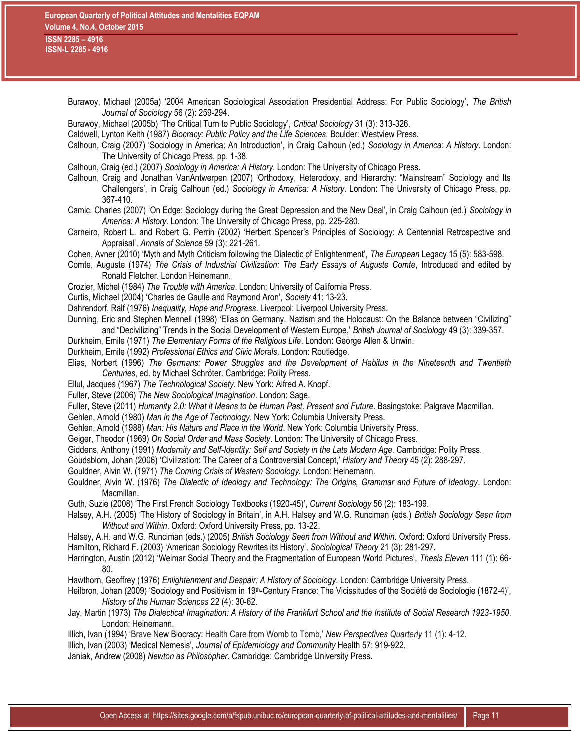| Burawoy, Michael (2005a) '2004 American Sociological Association Presidential Address: For Public Sociology', The British                                                                                                  |
|----------------------------------------------------------------------------------------------------------------------------------------------------------------------------------------------------------------------------|
| Journal of Sociology 56 (2): 259-294.                                                                                                                                                                                      |
| Burawoy, Michael (2005b) 'The Critical Turn to Public Sociology', Critical Sociology 31 (3): 313-326.                                                                                                                      |
| Caldwell, Lynton Keith (1987) Biocracy: Public Policy and the Life Sciences. Boulder: Westview Press.                                                                                                                      |
| Calhoun, Craig (2007) 'Sociology in America: An Introduction', in Craig Calhoun (ed.) Sociology in America: A History. London:                                                                                             |
| The University of Chicago Press, pp. 1-38.                                                                                                                                                                                 |
| Calhoun, Craig (ed.) (2007) Sociology in America: A History. London: The University of Chicago Press.                                                                                                                      |
| Calhoun, Craig and Jonathan VanAntwerpen (2007) 'Orthodoxy, Heterodoxy, and Hierarchy: "Mainstream" Sociology and Its                                                                                                      |
| Challengers', in Craig Calhoun (ed.) Sociology in America: A History. London: The University of Chicago Press, pp.                                                                                                         |
| 367-410.                                                                                                                                                                                                                   |
| Camic, Charles (2007) 'On Edge: Sociology during the Great Depression and the New Deal', in Craig Calhoun (ed.) Sociology in                                                                                               |
| America: A History. London: The University of Chicago Press, pp. 225-280.                                                                                                                                                  |
| Carneiro, Robert L. and Robert G. Perrin (2002) 'Herbert Spencer's Principles of Sociology: A Centennial Retrospective and                                                                                                 |
| Appraisal', Annals of Science 59 (3): 221-261.                                                                                                                                                                             |
| Cohen, Avner (2010) 'Myth and Myth Criticism following the Dialectic of Enlightenment', The European Legacy 15 (5): 583-598.                                                                                               |
| Comte, Auguste (1974) The Crisis of Industrial Civilization: The Early Essays of Auguste Comte, Introduced and edited by                                                                                                   |
| Ronald Fletcher. London Heinemann.                                                                                                                                                                                         |
| Crozier, Michel (1984) The Trouble with America. London: University of California Press.                                                                                                                                   |
| Curtis, Michael (2004) 'Charles de Gaulle and Raymond Aron', Society 41: 13-23.                                                                                                                                            |
| Dahrendorf, Ralf (1976) Inequality, Hope and Progress. Liverpool: Liverpool University Press.<br>Dunning, Eric and Stephen Mennell (1998) 'Elias on Germany, Nazism and the Holocaust: On the Balance between "Civilizing" |
| and "Decivilizing" Trends in the Social Development of Western Europe,' British Journal of Sociology 49 (3): 339-357.                                                                                                      |
| Durkheim, Emile (1971) The Elementary Forms of the Religious Life. London: George Allen & Unwin.                                                                                                                           |
| Durkheim, Emile (1992) Professional Ethics and Civic Morals. London: Routledge.                                                                                                                                            |
| Elias, Norbert (1996) The Germans: Power Struggles and the Development of Habitus in the Nineteenth and Twentieth                                                                                                          |
| Centuries, ed. by Michael Schröter. Cambridge: Polity Press.                                                                                                                                                               |
| Ellul, Jacques (1967) The Technological Society. New York: Alfred A. Knopf.                                                                                                                                                |
| Fuller, Steve (2006) The New Sociological Imagination. London: Sage.                                                                                                                                                       |
| Fuller, Steve (2011) Humanity 2.0: What it Means to be Human Past, Present and Future. Basingstoke: Palgrave Macmillan.                                                                                                    |
| Gehlen, Arnold (1980) Man in the Age of Technology. New York: Columbia University Press.                                                                                                                                   |
|                                                                                                                                                                                                                            |
| Gehlen, Arnold (1988) Man: His Nature and Place in the World. New York: Columbia University Press.                                                                                                                         |
| Geiger, Theodor (1969) On Social Order and Mass Society. London: The University of Chicago Press.                                                                                                                          |
| Giddens, Anthony (1991) Modernity and Self-Identity: Self and Society in the Late Modern Age. Cambridge: Polity Press.                                                                                                     |
| Goudsblom, Johan (2006) 'Civilization: The Career of a Controversial Concept,' History and Theory 45 (2): 288-297.                                                                                                         |
| Gouldner, Alvin W. (1971) The Coming Crisis of Western Sociology. London: Heinemann.                                                                                                                                       |
| Gouldner, Alvin W. (1976) The Dialectic of Ideology and Technology: The Origins, Grammar and Future of Ideology. London:                                                                                                   |
| Macmillan.                                                                                                                                                                                                                 |
| Guth, Suzie (2008) 'The First French Sociology Textbooks (1920-45)', Current Sociology 56 (2): 183-199.                                                                                                                    |
| Halsey, A.H. (2005) 'The History of Sociology in Britain', in A.H. Halsey and W.G. Runciman (eds.) British Sociology Seen from                                                                                             |
| Without and Within. Oxford: Oxford University Press, pp. 13-22.                                                                                                                                                            |
| Halsey, A.H. and W.G. Runciman (eds.) (2005) British Sociology Seen from Without and Within. Oxford: Oxford University Press.                                                                                              |
| Hamilton, Richard F. (2003) 'American Sociology Rewrites its History', Sociological Theory 21 (3): 281-297.                                                                                                                |
| Harrington, Austin (2012) 'Weimar Social Theory and the Fragmentation of European World Pictures', Thesis Eleven 111 (1): 66-                                                                                              |
| 80.                                                                                                                                                                                                                        |
| Hawthorn, Geoffrey (1976) Enlightenment and Despair: A History of Sociology. London: Cambridge University Press.                                                                                                           |
| Heilbron, Johan (2009) 'Sociology and Positivism in 19 <sup>th</sup> -Century France: The Vicissitudes of the Société de Sociologie (1872-4)',                                                                             |
| History of the Human Sciences 22 (4): 30-62.                                                                                                                                                                               |
| Jay, Martin (1973) The Dialectical Imagination: A History of the Frankfurt School and the Institute of Social Research 1923-1950.                                                                                          |
| London: Heinemann.                                                                                                                                                                                                         |
| Illich, Ivan (1994) 'Brave New Biocracy: Health Care from Womb to Tomb,' New Perspectives Quarterly 11 (1): 4-12.                                                                                                          |
| Illich, Ivan (2003) 'Medical Nemesis', Journal of Epidemiology and Community Health 57: 919-922.                                                                                                                           |
| Janiak, Andrew (2008) Newton as Philosopher. Cambridge: Cambridge University Press.                                                                                                                                        |
|                                                                                                                                                                                                                            |
|                                                                                                                                                                                                                            |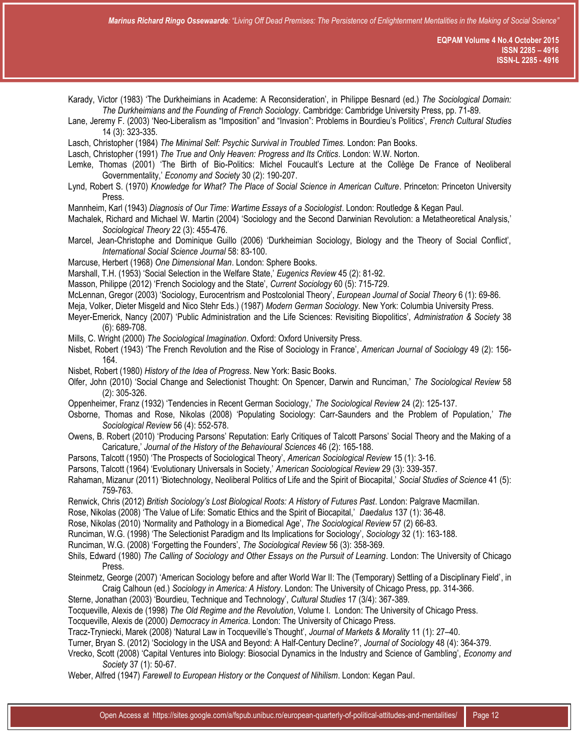Karady, Victor (1983) 'The Durkheimians in Academe: A Reconsideration', in Philippe Besnard (ed.) *The Sociological Domain: The Durkheimians and the Founding of French Sociology*. Cambridge: Cambridge University Press, pp. 71-89.

Lane, Jeremy F. (2003) 'Neo-Liberalism as "Imposition" and "Invasion": Problems in Bourdieu's Politics', *French Cultural Studies* 14 (3): 323-335.

Lasch, Christopher (1984) *The Minimal Self: Psychic Survival in Troubled Times.* London: Pan Books.

Lasch, Christopher (1991) *The True and Only Heaven: Progress and Its Critics*. London: W.W. Norton.

Lemke, Thomas (2001) 'The Birth of Bio-Politics: Michel Foucault's Lecture at the Collège De France of Neoliberal Governmentality,' *Economy and Society* 30 (2): 190-207.

Lynd, Robert S. (1970) *Knowledge for What? The Place of Social Science in American Culture*. Princeton: Princeton University Press.

Mannheim, Karl (1943) *Diagnosis of Our Time: Wartime Essays of a Sociologist*. London: Routledge & Kegan Paul.

Machalek, Richard and Michael W. Martin (2004) 'Sociology and the Second Darwinian Revolution: a Metatheoretical Analysis,' *Sociological Theory* 22 (3): 455-476.

Marcel, Jean-Christophe and Dominique Guillo (2006) 'Durkheimian Sociology, Biology and the Theory of Social Conflict', *International Social Science Journal* 58: 83-100.

Marcuse, Herbert (1968) *One Dimensional Man*. London: Sphere Books.

Marshall, T.H. (1953) 'Social Selection in the Welfare State,' *Eugenics Review* 45 (2): 81-92.

Masson, Philippe (2012) 'French Sociology and the State', *Current Sociology* 60 (5): 715-729.

McLennan, Gregor (2003) 'Sociology, Eurocentrism and Postcolonial Theory', *European Journal of Social Theory* 6 (1): 69-86.

Meja, Volker, Dieter Misgeld and Nico Stehr Eds.) (1987) *Modern German Sociology*. New York: Columbia University Press.

Meyer-Emerick, Nancy (2007) 'Public Administration and the Life Sciences: Revisiting Biopolitics', *Administration & Society* 38 (6): 689-708.

Mills, C. Wright (2000) *The Sociological Imagination*. Oxford: Oxford University Press.

Nisbet, Robert (1943) 'The French Revolution and the Rise of Sociology in France', *American Journal of Sociology* 49 (2): 156- 164.

Nisbet, Robert (1980) *History of the Idea of Progress*. New York: Basic Books.

Olfer, John (2010) 'Social Change and Selectionist Thought: On Spencer, Darwin and Runciman,' *The Sociological Review* 58 (2): 305-326.

Oppenheimer, Franz (1932) 'Tendencies in Recent German Sociology,' *The Sociological Review* 24 (2): 125-137.

- Osborne, Thomas and Rose, Nikolas (2008) 'Populating Sociology: Carr-Saunders and the Problem of Population,' *The Sociological Review* 56 (4): 552-578.
- Owens, B. Robert (2010) 'Producing Parsons' Reputation: Early Critiques of Talcott Parsons' Social Theory and the Making of a Caricature,' *Journal of the History of the Behavioural Sciences* 46 (2): 165-188.

Parsons, Talcott (1950) 'The Prospects of Sociological Theory', *American Sociological Review* 15 (1): 3-16.

Parsons, Talcott (1964) 'Evolutionary Universals in Society,' *American Sociological Review* 29 (3): 339-357.

Rahaman, Mizanur (2011) 'Biotechnology, Neoliberal Politics of Life and the Spirit of Biocapital,' *Social Studies of Science* 41 (5): 759-763.

Renwick, Chris (2012) *British Sociology's Lost Biological Roots: A History of Futures Past*. London: Palgrave Macmillan.

Rose, Nikolas (2008) 'The Value of Life: Somatic Ethics and the Spirit of Biocapital,' *Daedalus* 137 (1): 36-48.

Rose, Nikolas (2010) 'Normality and Pathology in a Biomedical Age', *The Sociological Review* 57 (2) 66-83.

Runciman, W.G. (1998) 'The Selectionist Paradigm and Its Implications for Sociology', *Sociology* 32 (1): 163-188.

Runciman, W.G. (2008) 'Forgetting the Founders', *The Sociological Review* 56 (3): 358-369.

Shils, Edward (1980) *The Calling of Sociology and Other Essays on the Pursuit of Learning*. London: The University of Chicago Press.

Steinmetz, George (2007) 'American Sociology before and after World War II: The (Temporary) Settling of a Disciplinary Field', in Craig Calhoun (ed.) *Sociology in America: A History*. London: The University of Chicago Press, pp. 314-366.

Sterne, Jonathan (2003) 'Bourdieu, Technique and Technology', *Cultural Studies* 17 (3/4): 367-389.

Tocqueville, Alexis de (1998) *The Old Regime and the Revolution*, Volume I. London: The University of Chicago Press.

Tocqueville, Alexis de (2000) *Democracy in America*. London: The University of Chicago Press.

Tracz-Tryniecki, Marek (2008) 'Natural Law in Tocqueville's Thought', *Journal of Markets & Morality* 11 (1): 27–40.

Turner, Bryan S. (2012) 'Sociology in the USA and Beyond: A Half-Century Decline?', *Journal of Sociology* 48 (4): 364-379.

Vrecko, Scott (2008) 'Capital Ventures into Biology: Biosocial Dynamics in the Industry and Science of Gambling', *Economy and Society* 37 (1): 50-67.

Weber, Alfred (1947) *Farewell to European History or the Conquest of Nihilism*. London: Kegan Paul.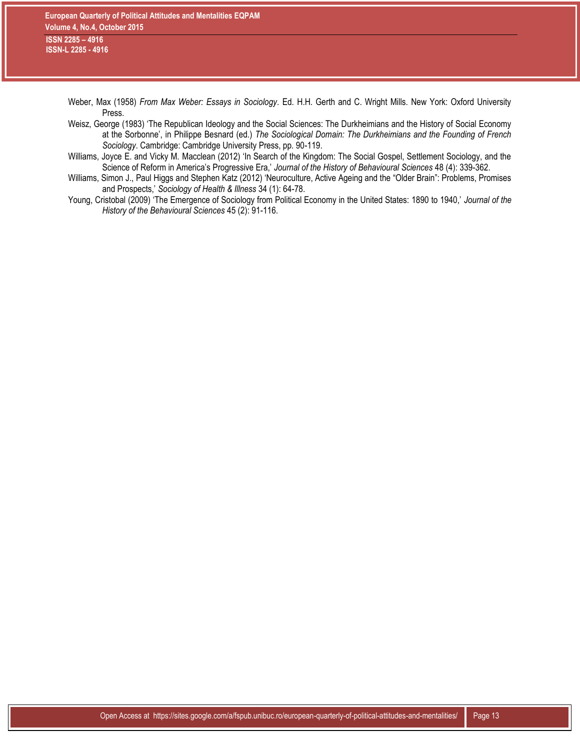Weber, Max (1958) *From Max Weber: Essays in Sociology*. Ed. H.H. Gerth and C. Wright Mills. New York: Oxford University Press.

- Weisz, George (1983) 'The Republican Ideology and the Social Sciences: The Durkheimians and the History of Social Economy at the Sorbonne', in Philippe Besnard (ed.) *The Sociological Domain: The Durkheimians and the Founding of French Sociology*. Cambridge: Cambridge University Press, pp. 90-119.
- Williams, Joyce E. and Vicky M. Macclean (2012) 'In Search of the Kingdom: The Social Gospel, Settlement Sociology, and the Science of Reform in America's Progressive Era,' *Journal of the History of Behavioural Sciences* 48 (4): 339-362.
- Williams, Simon J., Paul Higgs and Stephen Katz (2012) 'Neuroculture, Active Ageing and the "Older Brain": Problems, Promises and Prospects,' *Sociology of Health & Illness* 34 (1): 64-78.
- Young, Cristobal (2009) 'The Emergence of Sociology from Political Economy in the United States: 1890 to 1940,' *Journal of the History of the Behavioural Sciences* 45 (2): 91-116.